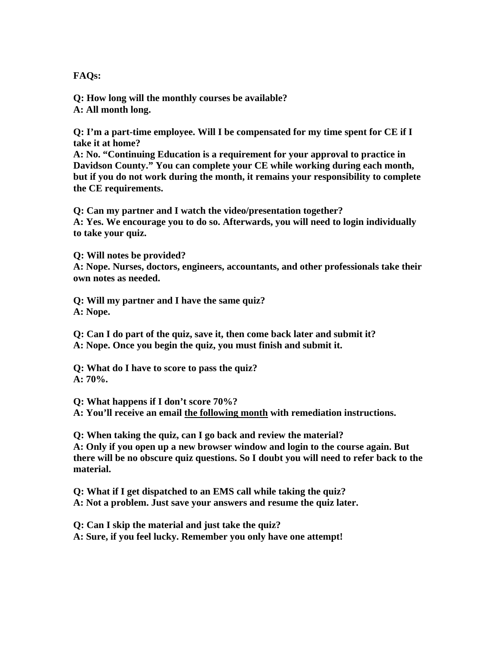**FAQs:** 

**Q: How long will the monthly courses be available? A: All month long.** 

**Q: I'm a part-time employee. Will I be compensated for my time spent for CE if I take it at home?** 

**A: No. "Continuing Education is a requirement for your approval to practice in Davidson County." You can complete your CE while working during each month, but if you do not work during the month, it remains your responsibility to complete the CE requirements.** 

**Q: Can my partner and I watch the video/presentation together? A: Yes. We encourage you to do so. Afterwards, you will need to login individually to take your quiz.** 

**Q: Will notes be provided? A: Nope. Nurses, doctors, engineers, accountants, and other professionals take their own notes as needed.** 

**Q: Will my partner and I have the same quiz? A: Nope.** 

**Q: Can I do part of the quiz, save it, then come back later and submit it? A: Nope. Once you begin the quiz, you must finish and submit it.** 

**Q: What do I have to score to pass the quiz? A: 70%.** 

**Q: What happens if I don't score 70%? A: You'll receive an email the following month with remediation instructions.** 

**Q: When taking the quiz, can I go back and review the material? A: Only if you open up a new browser window and login to the course again. But there will be no obscure quiz questions. So I doubt you will need to refer back to the material.** 

**Q: What if I get dispatched to an EMS call while taking the quiz? A: Not a problem. Just save your answers and resume the quiz later.** 

**Q: Can I skip the material and just take the quiz? A: Sure, if you feel lucky. Remember you only have one attempt!**